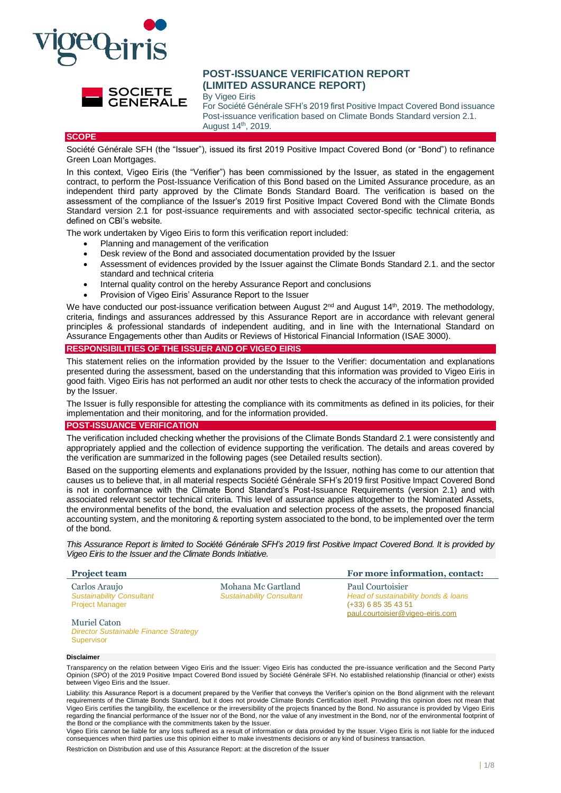



# **POST-ISSUANCE VERIFICATION REPORT (LIMITED ASSURANCE REPORT)**

By Vigeo Eiris

For Société Générale SFH's 2019 first Positive Impact Covered Bond issuance Post-issuance verification based on Climate Bonds Standard version 2.1. August 14th, 2019.

### **SCOPE**

Société Générale SFH (the "Issuer"), issued its first 2019 Positive Impact Covered Bond (or "Bond") to refinance Green Loan Mortgages.

In this context. Vigeo Eiris (the "Verifier") has been commissioned by the Issuer, as stated in the engagement contract, to perform the Post-Issuance Verification of this Bond based on the Limited Assurance procedure, as an independent third party approved by the Climate Bonds Standard Board. The verification is based on the assessment of the compliance of the Issuer's 2019 first Positive Impact Covered Bond with the Climate Bonds Standard version 2.1 for post-issuance requirements and with associated sector-specific technical criteria, as defined on CBI's website.

The work undertaken by Vigeo Eiris to form this verification report included:

- Planning and management of the verification
- Desk review of the Bond and associated documentation provided by the Issuer
- Assessment of evidences provided by the Issuer against the Climate Bonds Standard 2.1. and the sector standard and technical criteria
- Internal quality control on the hereby Assurance Report and conclusions
- Provision of Vigeo Eiris' Assurance Report to the Issuer

We have conducted our post-issuance verification between August 2<sup>nd</sup> and August 14<sup>th</sup>, 2019. The methodology, criteria, findings and assurances addressed by this Assurance Report are in accordance with relevant general principles & professional standards of independent auditing, and in line with the International Standard on Assurance Engagements other than Audits or Reviews of Historical Financial Information (ISAE 3000).

#### **RESPONSIBILITIES OF THE ISSUER AND OF VIGEO EIRIS**

This statement relies on the information provided by the Issuer to the Verifier: documentation and explanations presented during the assessment, based on the understanding that this information was provided to Vigeo Eiris in good faith. Vigeo Eiris has not performed an audit nor other tests to check the accuracy of the information provided by the Issuer.

The Issuer is fully responsible for attesting the compliance with its commitments as defined in its policies, for their implementation and their monitoring, and for the information provided.

#### **POST-ISSUANCE VERIFICATION**

The verification included checking whether the provisions of the Climate Bonds Standard 2.1 were consistently and appropriately applied and the collection of evidence supporting the verification. The details and areas covered by the verification are summarized in the following pages (see Detailed results section).

Based on the supporting elements and explanations provided by the Issuer, nothing has come to our attention that causes us to believe that, in all material respects Société Générale SFH's 2019 first Positive Impact Covered Bond is not in conformance with the Climate Bond Standard's Post-Issuance Requirements (version 2.1) and with associated relevant sector technical criteria. This level of assurance applies altogether to the Nominated Assets, the environmental benefits of the bond, the evaluation and selection process of the assets, the proposed financial accounting system, and the monitoring & reporting system associated to the bond, to be implemented over the term of the bond.

*This Assurance Report is limited to Société Générale SFH's 2019 first Positive Impact Covered Bond. It is provided by Vigeo Eiris to the Issuer and the Climate Bonds Initiative.*

Paul Courtoisier

(+33) 6 85 35 43 51

*Head of sustainability bonds & loans*

[paul.courtoisier@vigeo-eiris.com](mailto:paul.courtoisier@vigeo-eiris.com)

Mohana Mc Gartland *Sustainability Consultant*

#### **Project team For more information, contact:**

Carlos Araujo *Sustainability Consultant* Project Manager

Muriel Caton *Director Sustainable Finance Strategy* **Supervisor** 

#### **Disclaimer**

Transparency on the relation between Vigeo Eiris and the Issuer: Vigeo Eiris has conducted the pre-issuance verification and the Second Party<br>Opinion (SPO) of the 2019 Positive Impact Covered Bond issued by Société Général between Vigeo Eiris and the Issuer.

Liability: this Assurance Report is a document prepared by the Verifier that conveys the Verifier's opinion on the Bond alignment with the relevant requirements of the Climate Bonds Standard, but it does not provide Climate Bonds Certification itself. Providing this opinion does not mean that Vigeo Eiris certifies the tangibility, the excellence or the irreversibility of the projects financed by the Bond. No assurance is provided by Vigeo Eiris regarding the financial performance of the Issuer nor of the Bond, nor the value of any investment in the Bond, nor of the environmental footprint of the Bond or the compliance with the commitments taken by the Issuer.

Vigeo Eiris cannot be liable for any loss suffered as a result of information or data provided by the Issuer. Vigeo Eiris is not liable for the induced consequences when third parties use this opinion either to make investments decisions or any kind of business transaction.

Restriction on Distribution and use of this Assurance Report: at the discretion of the Issuer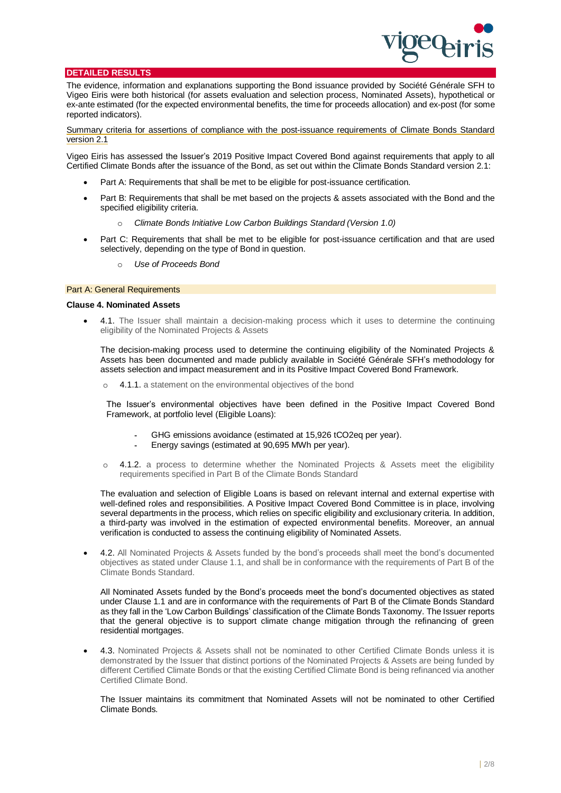

#### **DETAILED RESULTS**

The evidence, information and explanations supporting the Bond issuance provided by Société Générale SFH to Vigeo Eiris were both historical (for assets evaluation and selection process, Nominated Assets), hypothetical or ex-ante estimated (for the expected environmental benefits, the time for proceeds allocation) and ex-post (for some reported indicators).

Summary criteria for assertions of compliance with the post-issuance requirements of Climate Bonds Standard version 2.1

Vigeo Eiris has assessed the Issuer's 2019 Positive Impact Covered Bond against requirements that apply to all Certified Climate Bonds after the issuance of the Bond, as set out within the Climate Bonds Standard version 2.1:

- Part A: Requirements that shall be met to be eligible for post-issuance certification.
- Part B: Requirements that shall be met based on the projects & assets associated with the Bond and the specified eligibility criteria.
	- o *Climate Bonds Initiative Low Carbon Buildings Standard (Version 1.0)*
- Part C: Requirements that shall be met to be eligible for post-issuance certification and that are used selectively, depending on the type of Bond in question.
	- Use of Proceeds Bond

#### Part A: General Requirements

#### **Clause 4. Nominated Assets**

• 4.1. The Issuer shall maintain a decision-making process which it uses to determine the continuing eligibility of the Nominated Projects & Assets

The decision-making process used to determine the continuing eligibility of the Nominated Projects & Assets has been documented and made publicly available in Société Générale SFH's methodology for assets selection and impact measurement and in its Positive Impact Covered Bond Framework.

o 4.1.1. a statement on the environmental objectives of the bond

The Issuer's environmental objectives have been defined in the Positive Impact Covered Bond Framework, at portfolio level (Eligible Loans):

- GHG emissions avoidance (estimated at 15,926 tCO2eq per year).
- Energy savings (estimated at 90,695 MWh per year).
- o 4.1.2. a process to determine whether the Nominated Projects & Assets meet the eligibility requirements specified in Part B of the Climate Bonds Standard

The evaluation and selection of Eligible Loans is based on relevant internal and external expertise with well-defined roles and responsibilities. A Positive Impact Covered Bond Committee is in place, involving several departments in the process, which relies on specific eligibility and exclusionary criteria. In addition, a third-party was involved in the estimation of expected environmental benefits. Moreover, an annual verification is conducted to assess the continuing eligibility of Nominated Assets.

• 4.2. All Nominated Projects & Assets funded by the bond's proceeds shall meet the bond's documented objectives as stated under Clause 1.1, and shall be in conformance with the requirements of Part B of the Climate Bonds Standard.

All Nominated Assets funded by the Bond's proceeds meet the bond's documented objectives as stated under Clause 1.1 and are in conformance with the requirements of Part B of the Climate Bonds Standard as they fall in the 'Low Carbon Buildings' classification of the Climate Bonds Taxonomy. The Issuer reports that the general objective is to support climate change mitigation through the refinancing of green residential mortgages.

• 4.3. Nominated Projects & Assets shall not be nominated to other Certified Climate Bonds unless it is demonstrated by the Issuer that distinct portions of the Nominated Projects & Assets are being funded by different Certified Climate Bonds or that the existing Certified Climate Bond is being refinanced via another Certified Climate Bond.

The Issuer maintains its commitment that Nominated Assets will not be nominated to other Certified Climate Bonds.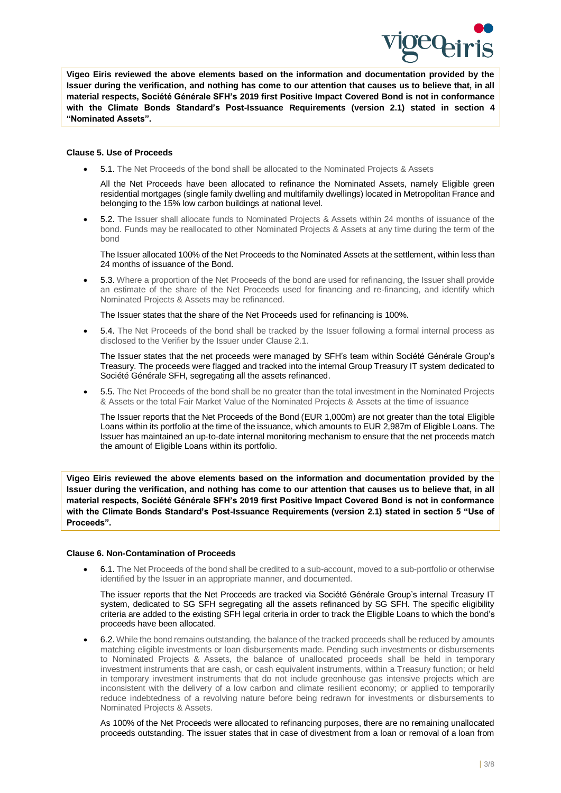

**Vigeo Eiris reviewed the above elements based on the information and documentation provided by the Issuer during the verification, and nothing has come to our attention that causes us to believe that, in all material respects, Société Générale SFH's 2019 first Positive Impact Covered Bond is not in conformance with the Climate Bonds Standard's Post-Issuance Requirements (version 2.1) stated in section 4 "Nominated Assets".**

#### **Clause 5. Use of Proceeds**

• 5.1. The Net Proceeds of the bond shall be allocated to the Nominated Projects & Assets

All the Net Proceeds have been allocated to refinance the Nominated Assets, namely Eligible green residential mortgages (single family dwelling and multifamily dwellings) located in Metropolitan France and belonging to the 15% low carbon buildings at national level.

• 5.2. The Issuer shall allocate funds to Nominated Projects & Assets within 24 months of issuance of the bond. Funds may be reallocated to other Nominated Projects & Assets at any time during the term of the bond

The Issuer allocated 100% of the Net Proceeds to the Nominated Assets at the settlement, within less than 24 months of issuance of the Bond.

• 5.3. Where a proportion of the Net Proceeds of the bond are used for refinancing, the Issuer shall provide an estimate of the share of the Net Proceeds used for financing and re-financing, and identify which Nominated Projects & Assets may be refinanced.

The Issuer states that the share of the Net Proceeds used for refinancing is 100%.

• 5.4. The Net Proceeds of the bond shall be tracked by the Issuer following a formal internal process as disclosed to the Verifier by the Issuer under Clause 2.1.

The Issuer states that the net proceeds were managed by SFH's team within Société Générale Group's Treasury. The proceeds were flagged and tracked into the internal Group Treasury IT system dedicated to Société Générale SFH, segregating all the assets refinanced.

• 5.5. The Net Proceeds of the bond shall be no greater than the total investment in the Nominated Projects & Assets or the total Fair Market Value of the Nominated Projects & Assets at the time of issuance

The Issuer reports that the Net Proceeds of the Bond (EUR 1,000m) are not greater than the total Eligible Loans within its portfolio at the time of the issuance, which amounts to EUR 2,987m of Eligible Loans. The Issuer has maintained an up-to-date internal monitoring mechanism to ensure that the net proceeds match the amount of Eligible Loans within its portfolio.

**Vigeo Eiris reviewed the above elements based on the information and documentation provided by the Issuer during the verification, and nothing has come to our attention that causes us to believe that, in all material respects, Société Générale SFH's 2019 first Positive Impact Covered Bond is not in conformance with the Climate Bonds Standard's Post-Issuance Requirements (version 2.1) stated in section 5 "Use of Proceeds".**

# **Clause 6. Non-Contamination of Proceeds**

• 6.1. The Net Proceeds of the bond shall be credited to a sub-account, moved to a sub-portfolio or otherwise identified by the Issuer in an appropriate manner, and documented.

The issuer reports that the Net Proceeds are tracked via Société Générale Group's internal Treasury IT system, dedicated to SG SFH segregating all the assets refinanced by SG SFH. The specific eligibility criteria are added to the existing SFH legal criteria in order to track the Eligible Loans to which the bond's proceeds have been allocated.

• 6.2. While the bond remains outstanding, the balance of the tracked proceeds shall be reduced by amounts matching eligible investments or loan disbursements made. Pending such investments or disbursements to Nominated Projects & Assets, the balance of unallocated proceeds shall be held in temporary investment instruments that are cash, or cash equivalent instruments, within a Treasury function; or held in temporary investment instruments that do not include greenhouse gas intensive projects which are inconsistent with the delivery of a low carbon and climate resilient economy; or applied to temporarily reduce indebtedness of a revolving nature before being redrawn for investments or disbursements to Nominated Projects & Assets.

As 100% of the Net Proceeds were allocated to refinancing purposes, there are no remaining unallocated proceeds outstanding. The issuer states that in case of divestment from a loan or removal of a loan from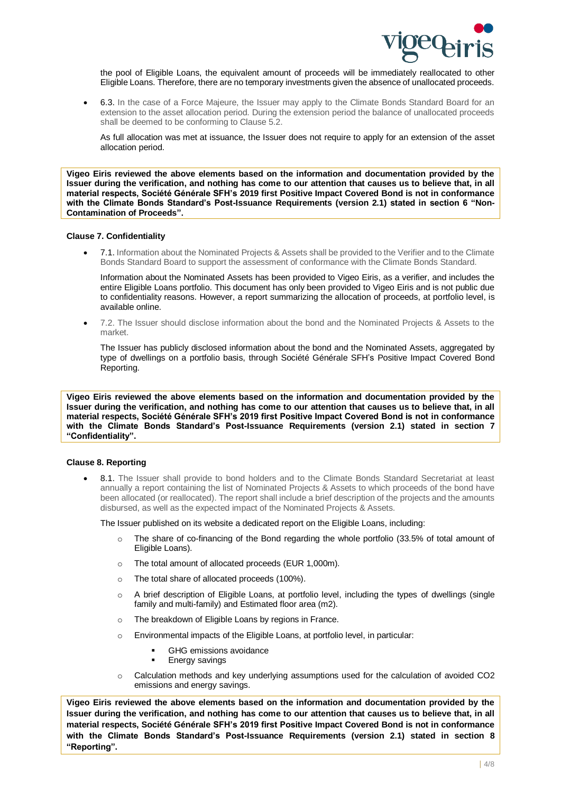

the pool of Eligible Loans, the equivalent amount of proceeds will be immediately reallocated to other Eligible Loans. Therefore, there are no temporary investments given the absence of unallocated proceeds.

• 6.3. In the case of a Force Majeure, the Issuer may apply to the Climate Bonds Standard Board for an extension to the asset allocation period. During the extension period the balance of unallocated proceeds shall be deemed to be conforming to Clause 5.2.

As full allocation was met at issuance, the Issuer does not require to apply for an extension of the asset allocation period.

**Vigeo Eiris reviewed the above elements based on the information and documentation provided by the Issuer during the verification, and nothing has come to our attention that causes us to believe that, in all material respects, Société Générale SFH's 2019 first Positive Impact Covered Bond is not in conformance with the Climate Bonds Standard's Post-Issuance Requirements (version 2.1) stated in section 6 "Non-Contamination of Proceeds".**

#### **Clause 7. Confidentiality**

• 7.1. Information about the Nominated Projects & Assets shall be provided to the Verifier and to the Climate Bonds Standard Board to support the assessment of conformance with the Climate Bonds Standard.

Information about the Nominated Assets has been provided to Vigeo Eiris, as a verifier, and includes the entire Eligible Loans portfolio. This document has only been provided to Vigeo Eiris and is not public due to confidentiality reasons. However, a report summarizing the allocation of proceeds, at portfolio level, is available online.

• 7.2. The Issuer should disclose information about the bond and the Nominated Projects & Assets to the market.

The Issuer has publicly disclosed information about the bond and the Nominated Assets, aggregated by type of dwellings on a portfolio basis, through Société Générale SFH's Positive Impact Covered Bond Reporting.

**Vigeo Eiris reviewed the above elements based on the information and documentation provided by the Issuer during the verification, and nothing has come to our attention that causes us to believe that, in all material respects, Société Générale SFH's 2019 first Positive Impact Covered Bond is not in conformance with the Climate Bonds Standard's Post-Issuance Requirements (version 2.1) stated in section 7 "Confidentiality".**

# **Clause 8. Reporting**

8.1. The Issuer shall provide to bond holders and to the Climate Bonds Standard Secretariat at least annually a report containing the list of Nominated Projects & Assets to which proceeds of the bond have been allocated (or reallocated). The report shall include a brief description of the projects and the amounts disbursed, as well as the expected impact of the Nominated Projects & Assets.

The Issuer published on its website a dedicated report on the Eligible Loans, including:

- The share of co-financing of the Bond regarding the whole portfolio (33.5% of total amount of Eligible Loans).
- o The total amount of allocated proceeds (EUR 1,000m).
- o The total share of allocated proceeds (100%).
- $\circ$  A brief description of Eligible Loans, at portfolio level, including the types of dwellings (single family and multi-family) and Estimated floor area (m2).
- o The breakdown of Eligible Loans by regions in France.
- o Environmental impacts of the Eligible Loans, at portfolio level, in particular:
	- **GHG** emissions avoidance
	- **Energy savings**
- $\circ$  Calculation methods and key underlying assumptions used for the calculation of avoided CO2 emissions and energy savings.

**Vigeo Eiris reviewed the above elements based on the information and documentation provided by the Issuer during the verification, and nothing has come to our attention that causes us to believe that, in all material respects, Société Générale SFH's 2019 first Positive Impact Covered Bond is not in conformance with the Climate Bonds Standard's Post-Issuance Requirements (version 2.1) stated in section 8 "Reporting".**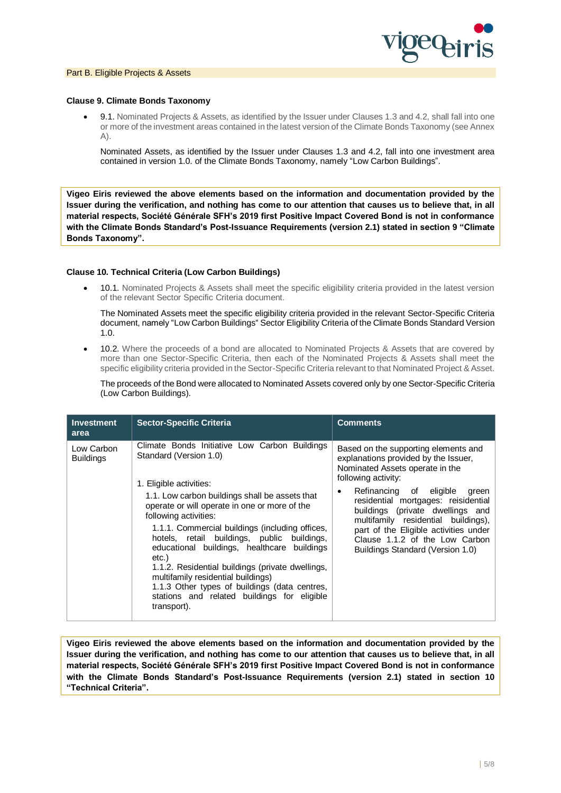

#### Part B. Eligible Projects & Assets

#### **Clause 9. Climate Bonds Taxonomy**

• 9.1. Nominated Projects & Assets, as identified by the Issuer under Clauses 1.3 and 4.2, shall fall into one or more of the investment areas contained in the latest version of the Climate Bonds Taxonomy (see Annex  $(A)$ .

Nominated Assets, as identified by the Issuer under Clauses 1.3 and 4.2, fall into one investment area contained in version 1.0. of the Climate Bonds Taxonomy, namely "Low Carbon Buildings".

**Vigeo Eiris reviewed the above elements based on the information and documentation provided by the Issuer during the verification, and nothing has come to our attention that causes us to believe that, in all material respects, Société Générale SFH's 2019 first Positive Impact Covered Bond is not in conformance with the Climate Bonds Standard's Post-Issuance Requirements (version 2.1) stated in section 9 "Climate Bonds Taxonomy".**

### **Clause 10. Technical Criteria (Low Carbon Buildings)**

• 10.1. Nominated Projects & Assets shall meet the specific eligibility criteria provided in the latest version of the relevant Sector Specific Criteria document.

The Nominated Assets meet the specific eligibility criteria provided in the relevant Sector-Specific Criteria document, namely "Low Carbon Buildings" Sector Eligibility Criteria of the Climate Bonds Standard Version 1.0.

• 10.2. Where the proceeds of a bond are allocated to Nominated Projects & Assets that are covered by more than one Sector-Specific Criteria, then each of the Nominated Projects & Assets shall meet the specific eligibility criteria provided in the Sector-Specific Criteria relevant to that Nominated Project & Asset.

The proceeds of the Bond were allocated to Nominated Assets covered only by one Sector-Specific Criteria (Low Carbon Buildings).

| <b>Investment</b><br>area      | <b>Sector-Specific Criteria</b>                                                                                                                                                                                                                                                                                                                                                                                                                                                                                                                                                                   | <b>Comments</b>                                                                                                                                                                                                                                                                                                                                                                                                          |
|--------------------------------|---------------------------------------------------------------------------------------------------------------------------------------------------------------------------------------------------------------------------------------------------------------------------------------------------------------------------------------------------------------------------------------------------------------------------------------------------------------------------------------------------------------------------------------------------------------------------------------------------|--------------------------------------------------------------------------------------------------------------------------------------------------------------------------------------------------------------------------------------------------------------------------------------------------------------------------------------------------------------------------------------------------------------------------|
| Low Carbon<br><b>Buildings</b> | Climate Bonds Initiative Low Carbon Buildings<br>Standard (Version 1.0)<br>1. Eligible activities:<br>1.1. Low carbon buildings shall be assets that<br>operate or will operate in one or more of the<br>following activities:<br>1.1.1. Commercial buildings (including offices,<br>hotels, retail buildings, public buildings,<br>educational buildings, healthcare buildings<br>etc.)<br>1.1.2. Residential buildings (private dwellings,<br>multifamily residential buildings)<br>1.1.3 Other types of buildings (data centres,<br>stations and related buildings for eligible<br>transport). | Based on the supporting elements and<br>explanations provided by the Issuer,<br>Nominated Assets operate in the<br>following activity:<br>Refinancing of eligible<br>green<br>$\bullet$<br>residential mortgages: reisidential<br>buildings (private dwellings and<br>multifamily residential buildings),<br>part of the Eligible activities under<br>Clause 1.1.2 of the Low Carbon<br>Buildings Standard (Version 1.0) |

**Vigeo Eiris reviewed the above elements based on the information and documentation provided by the Issuer during the verification, and nothing has come to our attention that causes us to believe that, in all material respects, Société Générale SFH's 2019 first Positive Impact Covered Bond is not in conformance with the Climate Bonds Standard's Post-Issuance Requirements (version 2.1) stated in section 10 "Technical Criteria".**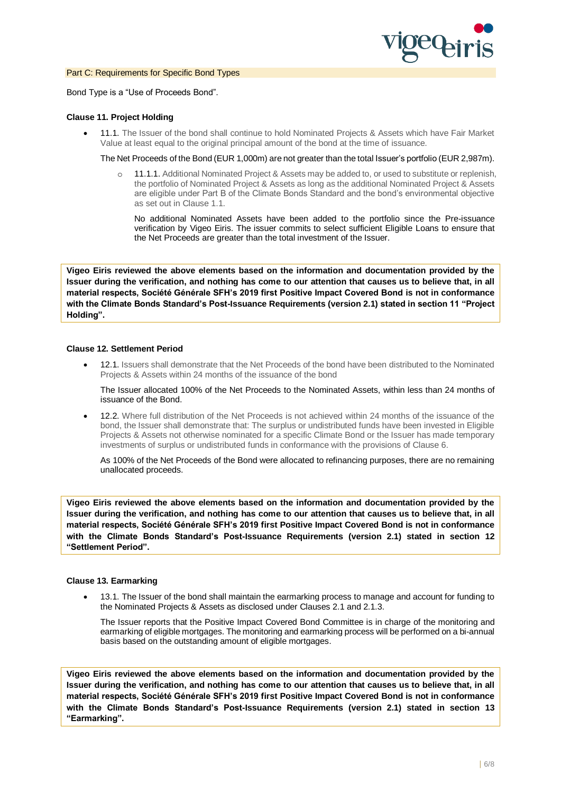

#### Part C: Requirements for Specific Bond Types

Bond Type is a "Use of Proceeds Bond".

#### **Clause 11. Project Holding**

• 11.1. The Issuer of the bond shall continue to hold Nominated Projects & Assets which have Fair Market Value at least equal to the original principal amount of the bond at the time of issuance.

The Net Proceeds of the Bond (EUR 1,000m) are not greater than the total Issuer's portfolio (EUR 2,987m).

o 11.1.1. Additional Nominated Project & Assets may be added to, or used to substitute or replenish, the portfolio of Nominated Project & Assets as long as the additional Nominated Project & Assets are eligible under Part B of the Climate Bonds Standard and the bond's environmental objective as set out in Clause 1.1.

No additional Nominated Assets have been added to the portfolio since the Pre-issuance verification by Vigeo Eiris. The issuer commits to select sufficient Eligible Loans to ensure that the Net Proceeds are greater than the total investment of the Issuer.

**Vigeo Eiris reviewed the above elements based on the information and documentation provided by the Issuer during the verification, and nothing has come to our attention that causes us to believe that, in all material respects, Société Générale SFH's 2019 first Positive Impact Covered Bond is not in conformance with the Climate Bonds Standard's Post-Issuance Requirements (version 2.1) stated in section 11 "Project Holding".**

#### **Clause 12. Settlement Period**

• 12.1. Issuers shall demonstrate that the Net Proceeds of the bond have been distributed to the Nominated Projects & Assets within 24 months of the issuance of the bond

The Issuer allocated 100% of the Net Proceeds to the Nominated Assets, within less than 24 months of issuance of the Bond.

• 12.2. Where full distribution of the Net Proceeds is not achieved within 24 months of the issuance of the bond, the Issuer shall demonstrate that: The surplus or undistributed funds have been invested in Eligible Projects & Assets not otherwise nominated for a specific Climate Bond or the Issuer has made temporary investments of surplus or undistributed funds in conformance with the provisions of Clause 6.

As 100% of the Net Proceeds of the Bond were allocated to refinancing purposes, there are no remaining unallocated proceeds.

**Vigeo Eiris reviewed the above elements based on the information and documentation provided by the Issuer during the verification, and nothing has come to our attention that causes us to believe that, in all material respects, Société Générale SFH's 2019 first Positive Impact Covered Bond is not in conformance with the Climate Bonds Standard's Post-Issuance Requirements (version 2.1) stated in section 12 "Settlement Period".**

#### **Clause 13. Earmarking**

• 13.1. The Issuer of the bond shall maintain the earmarking process to manage and account for funding to the Nominated Projects & Assets as disclosed under Clauses 2.1 and 2.1.3.

The Issuer reports that the Positive Impact Covered Bond Committee is in charge of the monitoring and earmarking of eligible mortgages. The monitoring and earmarking process will be performed on a bi-annual basis based on the outstanding amount of eligible mortgages.

**Vigeo Eiris reviewed the above elements based on the information and documentation provided by the Issuer during the verification, and nothing has come to our attention that causes us to believe that, in all material respects, Société Générale SFH's 2019 first Positive Impact Covered Bond is not in conformance with the Climate Bonds Standard's Post-Issuance Requirements (version 2.1) stated in section 13 "Earmarking".**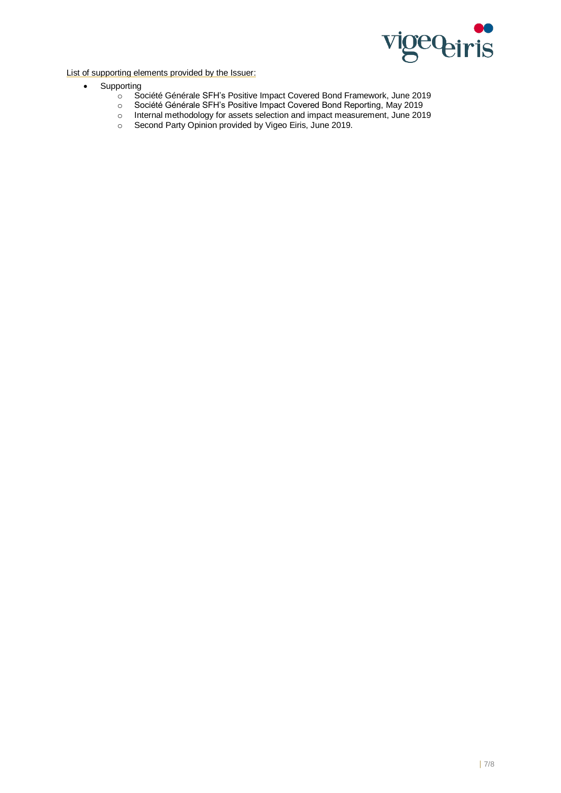

List of supporting elements provided by the Issuer:

- Supporting
	- o Société Générale SFH's Positive Impact Covered Bond Framework, June 2019
	- o Société Générale SFH's Positive Impact Covered Bond Reporting, May 2019
	- o Internal methodology for assets selection and impact measurement, June 2019
	- o Second Party Opinion provided by Vigeo Eiris, June 2019.